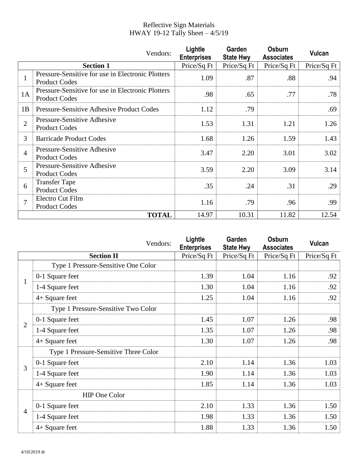## Reflective Sign Materials HWAY 19-12 Tally Sheet – 4/5/19

|                  | Vendors:                                                                  | Lightle<br><b>Enterprises</b> | Garden<br><b>State Hwy</b> | Osburn<br><b>Associates</b> | Vulcan      |
|------------------|---------------------------------------------------------------------------|-------------------------------|----------------------------|-----------------------------|-------------|
| <b>Section 1</b> |                                                                           | Price/Sq Ft                   | Price/Sq Ft                | Price/Sq Ft                 | Price/Sq Ft |
| 1                | Pressure-Sensitive for use in Electronic Plotters<br><b>Product Codes</b> | 1.09                          | .87                        | .88                         | .94         |
| 1A               | Pressure-Sensitive for use in Electronic Plotters<br><b>Product Codes</b> | .98                           | .65                        | .77                         | .78         |
| 1B               | <b>Pressure-Sensitive Adhesive Product Codes</b>                          | 1.12                          | .79                        |                             | .69         |
| $\overline{2}$   | Pressure-Sensitive Adhesive<br><b>Product Codes</b>                       | 1.53                          | 1.31                       | 1.21                        | 1.26        |
| 3                | <b>Barricade Product Codes</b>                                            | 1.68                          | 1.26                       | 1.59                        | 1.43        |
| $\overline{4}$   | Pressure-Sensitive Adhesive<br><b>Product Codes</b>                       | 3.47                          | 2.20                       | 3.01                        | 3.02        |
| 5                | Pressure-Sensitive Adhesive<br><b>Product Codes</b>                       | 3.59                          | 2.20                       | 3.09                        | 3.14        |
| 6                | <b>Transfer Tape</b><br><b>Product Codes</b>                              | .35                           | .24                        | .31                         | .29         |
| $\overline{7}$   | Electro Cut Film<br><b>Product Codes</b>                                  | 1.16                          | .79                        | .96                         | .99         |
|                  | <b>TOTAL</b>                                                              | 14.97                         | 10.31                      | 11.82                       | 12.54       |

|                | Vendors:                              | Lightle<br><b>Enterprises</b> | Garden<br><b>State Hwy</b> | Osburn<br><b>Associates</b> | Vulcan      |
|----------------|---------------------------------------|-------------------------------|----------------------------|-----------------------------|-------------|
|                | <b>Section II</b>                     | Price/Sq Ft                   | Price/Sq Ft                | Price/Sq Ft                 | Price/Sq Ft |
| $\mathbf{1}$   | Type 1 Pressure-Sensitive One Color   |                               |                            |                             |             |
|                | 0-1 Square feet                       | 1.39                          | 1.04                       | 1.16                        | .92         |
|                | 1-4 Square feet                       | 1.30                          | 1.04                       | 1.16                        | .92         |
|                | 4+ Square feet                        | 1.25                          | 1.04                       | 1.16                        | .92         |
| $\overline{2}$ | Type 1 Pressure-Sensitive Two Color   |                               |                            |                             |             |
|                | 0-1 Square feet                       | 1.45                          | 1.07                       | 1.26                        | .98         |
|                | 1-4 Square feet                       | 1.35                          | 1.07                       | 1.26                        | .98         |
|                | 4+ Square feet                        | 1.30                          | 1.07                       | 1.26                        | .98         |
| 3              | Type 1 Pressure-Sensitive Three Color |                               |                            |                             |             |
|                | 0-1 Square feet                       | 2.10                          | 1.14                       | 1.36                        | 1.03        |
|                | 1-4 Square feet                       | 1.90                          | 1.14                       | 1.36                        | 1.03        |
|                | 4+ Square feet                        | 1.85                          | 1.14                       | 1.36                        | 1.03        |
| $\overline{4}$ | <b>HIP One Color</b>                  |                               |                            |                             |             |
|                | 0-1 Square feet                       | 2.10                          | 1.33                       | 1.36                        | 1.50        |
|                | 1-4 Square feet                       | 1.98                          | 1.33                       | 1.36                        | 1.50        |
|                | 4+ Square feet                        | 1.88                          | 1.33                       | 1.36                        | 1.50        |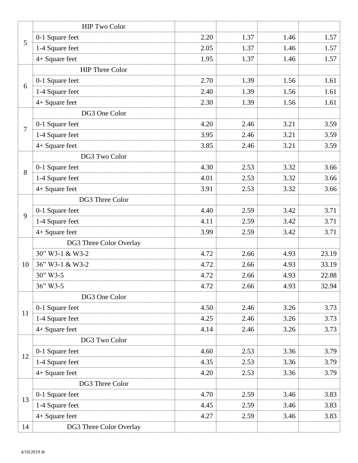|                | <b>HIP Two Color</b>    |      |      |      |       |
|----------------|-------------------------|------|------|------|-------|
| 5              | 0-1 Square feet         | 2.20 | 1.37 | 1.46 | 1.57  |
|                | 1-4 Square feet         | 2.05 | 1.37 | 1.46 | 1.57  |
|                | 4+ Square feet          | 1.95 | 1.37 | 1.46 | 1.57  |
|                | <b>HIP Three Color</b>  |      |      |      |       |
|                | 0-1 Square feet         | 2.70 | 1.39 | 1.56 | 1.61  |
| 6              | 1-4 Square feet         | 2.40 | 1.39 | 1.56 | 1.61  |
|                | 4+ Square feet          | 2.30 | 1.39 | 1.56 | 1.61  |
|                | DG3 One Color           |      |      |      |       |
|                | 0-1 Square feet         | 4.20 | 2.46 | 3.21 | 3.59  |
| $\overline{7}$ | 1-4 Square feet         | 3.95 | 2.46 | 3.21 | 3.59  |
|                | 4+ Square feet          | 3.85 | 2.46 | 3.21 | 3.59  |
|                | DG3 Two Color           |      |      |      |       |
|                | 0-1 Square feet         | 4.30 | 2.53 | 3.32 | 3.66  |
| 8              | 1-4 Square feet         | 4.01 | 2.53 | 3.32 | 3.66  |
|                | 4+ Square feet          | 3.91 | 2.53 | 3.32 | 3.66  |
|                | DG3 Three Color         |      |      |      |       |
|                | 0-1 Square feet         | 4.40 | 2.59 | 3.42 | 3.71  |
| 9              | 1-4 Square feet         | 4.11 | 2.59 | 3.42 | 3.71  |
|                | 4+ Square feet          | 3.99 | 2.59 | 3.42 | 3.71  |
|                | DG3 Three Color Overlay |      |      |      |       |
|                | 30" W3-1 & W3-2         | 4.72 | 2.66 | 4.93 | 23.19 |
| 10             | 36" W3-1 & W3-2         | 4.72 | 2.66 | 4.93 | 33.19 |
|                | $30" W3-5$              | 4.72 | 2.66 | 4.93 | 22.88 |
|                | 36" W3-5                | 4.72 | 2.66 | 4.93 | 32.94 |
|                | DG3 One Color           |      |      |      |       |
|                | 0-1 Square feet         | 4.50 | 2.46 | 3.26 | 3.73  |
| 11             | 1-4 Square feet         | 4.25 | 2.46 | 3.26 | 3.73  |
|                | 4+ Square feet          | 4.14 | 2.46 | 3.26 | 3.73  |
|                | DG3 Two Color           |      |      |      |       |
| 12             | 0-1 Square feet         | 4.60 | 2.53 | 3.36 | 3.79  |
|                | 1-4 Square feet         | 4.35 | 2.53 | 3.36 | 3.79  |
|                | 4+ Square feet          | 4.20 | 2.53 | 3.36 | 3.79  |
|                | DG3 Three Color         |      |      |      |       |
| 13             | 0-1 Square feet         | 4.70 | 2.59 | 3.46 | 3.83  |
|                | 1-4 Square feet         | 4.45 | 2.59 | 3.46 | 3.83  |
|                | 4+ Square feet          | 4.27 | 2.59 | 3.46 | 3.83  |
| 14             | DG3 Three Color Overlay |      |      |      |       |